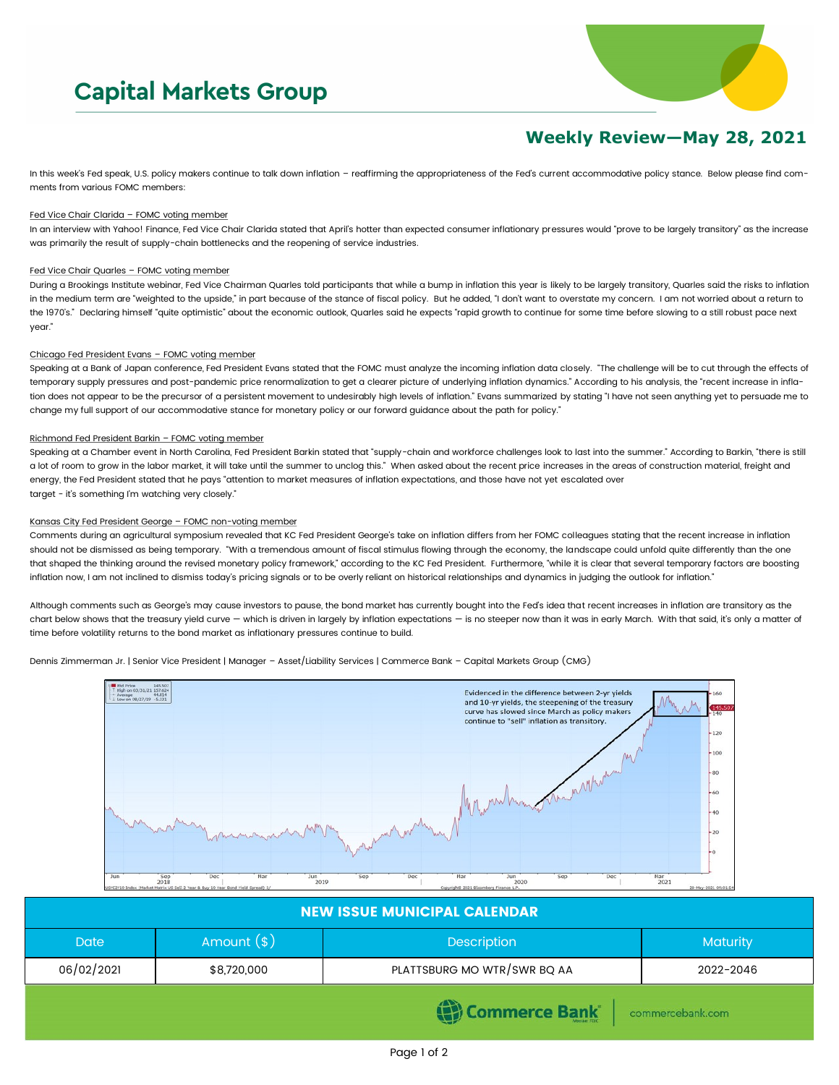# **Capital Markets Group**



## **Weekly Review—May 28, 2021**

In this week's Fed speak, U.S. policy makers continue to talk down inflation - reaffirming the appropriateness of the Fed's current accommodative policy stance. Below please find comments from various FOMC members:

#### Fed Vice Chair Clarida – FOMC voting member

In an interview with Yahoo! Finance, Fed Vice Chair Clarida stated that April's hotter than expected consumer inflationary pressures would "prove to be largely transitory" as the increase was primarily the result of supply-chain bottlenecks and the reopening of service industries.

#### Fed Vice Chair Quarles - FOMC voting member

During a Brookings Institute webinar, Fed Vice Chairman Quarles told participants that while a bump in inflation this year is likely to be largely transitory, Quarles said the risks to inflation in the medium term are "weighted to the upside," in part because of the stance of fiscal policy. But he added, "I don't want to overstate my concern. I am not worried about a return to the 1970's." Declaring himself "quite optimistic" about the economic outlook, Quarles said he expects "rapid growth to continue for some time before slowing to a still robust pace next year."

#### Chicago Fed President Evans – FOMC voting member

Speaking at a Bank of Japan conference, Fed President Evans stated that the FOMC must analyze the incoming inflation data closely. "The challenge will be to cut through the effects of temporary supply pressures and post-pandemic price renormalization to get a clearer picture of underlying inflation dynamics." According to his analysis, the "recent increase in inflation does not appear to be the precursor of a persistent movement to undesirably high levels of inflation." Evans summarized by stating "I have not seen anything yet to persuade me to change my full support of our accommodative stance for monetary policy or our forward guidance about the path for policy."

#### Richmond Fed President Barkin – FOMC voting member

Speaking at a Chamber event in North Carolina, Fed President Barkin stated that "supply-chain and workforce challenges look to last into the summer." According to Barkin, "there is still a lot of room to grow in the labor market, it will take until the summer to unclog this." When asked about the recent price increases in the areas of construction material, freight and energy, the Fed President stated that he pays "attention to market measures of inflation expectations, and those have not yet escalated over target - it's something I'm watching very closely."

#### Kansas City Fed President George – FOMC non-voting member

Comments during an agricultural symposium revealed that KC Fed President George's take on inflation differs from her FOMC colleagues stating that the recent increase in inflation should not be dismissed as being temporary. "With a tremendous amount of fiscal stimulus flowing through the economy, the landscape could unfold quite differently than the one that shaped the thinking around the revised monetary policy framework," according to the KC Fed President. Furthermore, "while it is clear that several temporary factors are boosting inflation now, I am not inclined to dismiss today's pricing signals or to be overly reliant on historical relationships and dynamics in judging the outlook for inflation."

Although comments such as George's may cause investors to pause, the bond market has currently bought into the Fed's idea that recent increases in inflation are transitory as the chart below shows that the treasury yield curve — which is driven in largely by inflation expectations — is no steeper now than it was in early March. With that said, it's only a matter of time before volatility returns to the bond market as inflationary pressures continue to build.

Dennis Zimmerman Jr. | Senior Vice President | Manager – Asset/Liability Services | Commerce Bank – Capital Markets Group (CMG)



| <b>NEW ISSUE MUNICIPAL CALENDAR</b> |              |                             |                 |  |  |
|-------------------------------------|--------------|-----------------------------|-----------------|--|--|
| <b>Date</b>                         | Amount $(*)$ | <b>Description</b>          | <b>Maturity</b> |  |  |
| 06/02/2021                          | \$8,720,000  | PLATTSBURG MO WTR/SWR BQ AA | 2022-2046       |  |  |
| (Commerce Bank<br>commercebank.com  |              |                             |                 |  |  |